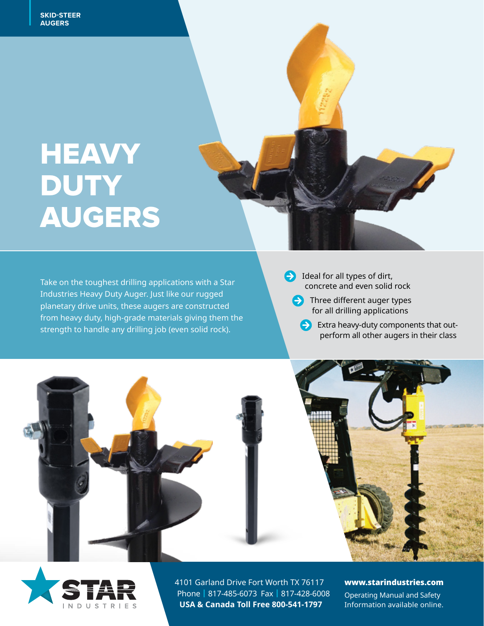# **PRODUCT** NEAV<br>Nitv HEAVY **DUTY** AUGERS



planetary drive units, these augers are constructed<br>for all drill Take on the toughest drilling applications with a Star Industries Heavy Duty Auger. Just like our rugged from heavy duty, high-grade materials giving them the strength to handle any drilling job (even solid rock).

 Ideal for all types of dirt, concrete and even solid rock

- $\leftrightarrow$  Three different auger types for all drilling applications
	- Extra heavy-duty components that outperform all other augers in their class





4101 Garland Drive Fort Worth TX 76117 Phone | 817-485-6073 Fax | 817-428-6008 **USA & Canada Toll Free 800-541-1797**

#### www.starindustries.com

Operating Manual and Safety Information available online.